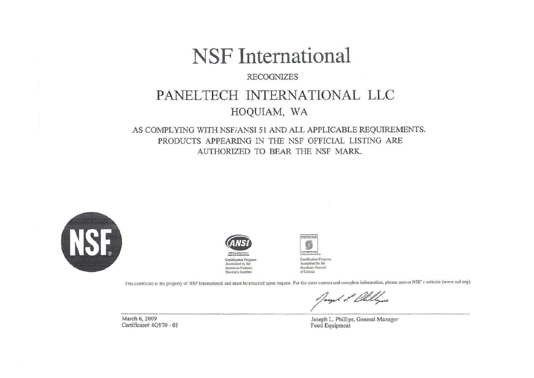# **NSF** International

#### **RECOGNIZES**

# PANELTECH INTERNATIONAL LLC

# HOQUIAM, WA

### AS COMPLYING WITH NSF/ANSI 51 AND ALL APPLICABLE REQUIREMENTS. PRODUCTS APPEARING IN THE NSF OFFICIAL LISTING ARE AUTHORIZED TO BEAR THE NSF MARK.





American National

Standards Institute



This certificate is the property of NSF International and must be returned upon request. For the most current and complete information, please access NSF's website (www.nsf.org).

March 6, 2009 Certificate# 4G970 - 01

Joseph L. Phillips, General Manager Food Equipment

/aught of life